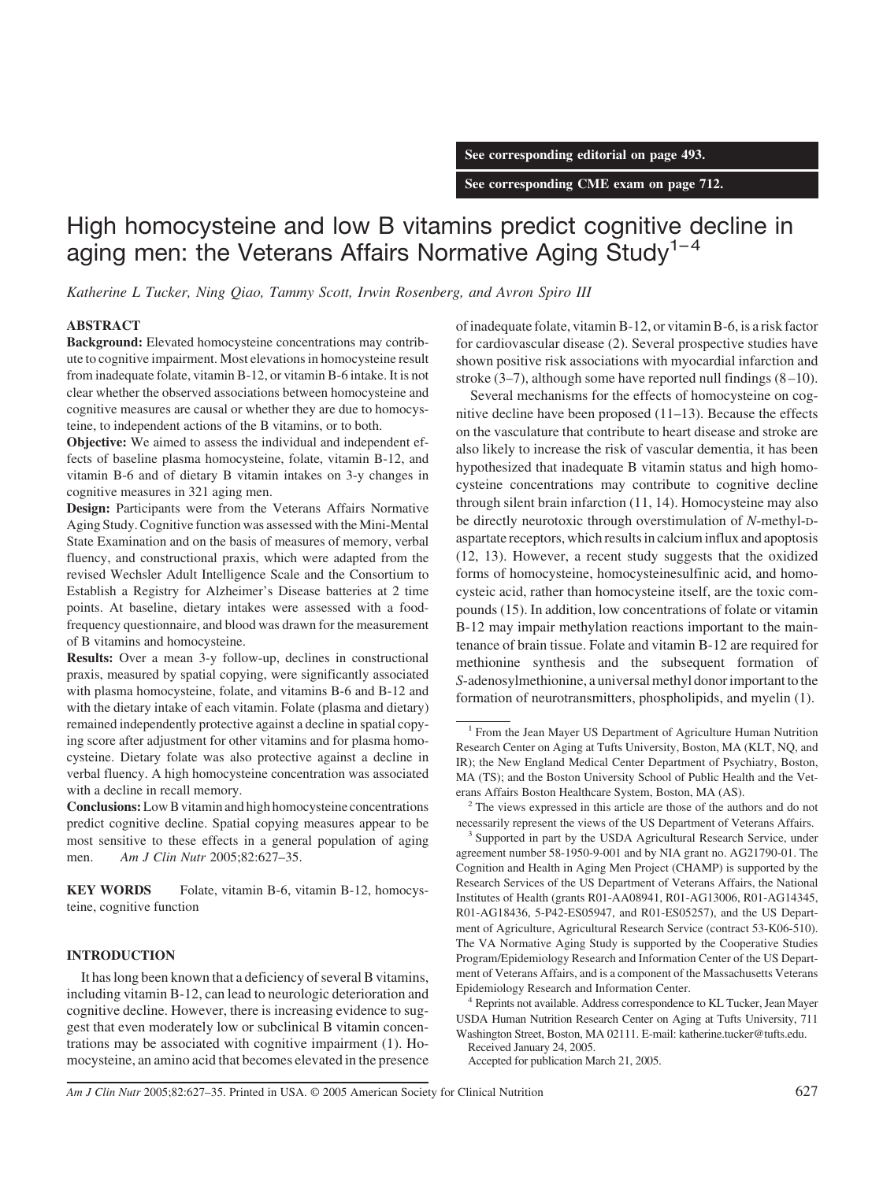**See corresponding editorial on page 493.**

**See corresponding CME exam on page 712.**

# High homocysteine and low B vitamins predict cognitive decline in aging men: the Veterans Affairs Normative Aging Study<sup>1-4</sup>

*Katherine L Tucker, Ning Qiao, Tammy Scott, Irwin Rosenberg, and Avron Spiro III*

# **ABSTRACT**

**Background:** Elevated homocysteine concentrations may contribute to cognitive impairment. Most elevations in homocysteine result from inadequate folate, vitamin B-12, or vitamin B-6 intake. It is not clear whether the observed associations between homocysteine and cognitive measures are causal or whether they are due to homocysteine, to independent actions of the B vitamins, or to both.

**Objective:** We aimed to assess the individual and independent effects of baseline plasma homocysteine, folate, vitamin B-12, and vitamin B-6 and of dietary B vitamin intakes on 3-y changes in cognitive measures in 321 aging men.

**Design:** Participants were from the Veterans Affairs Normative Aging Study. Cognitive function was assessed with the Mini-Mental State Examination and on the basis of measures of memory, verbal fluency, and constructional praxis, which were adapted from the revised Wechsler Adult Intelligence Scale and the Consortium to Establish a Registry for Alzheimer's Disease batteries at 2 time points. At baseline, dietary intakes were assessed with a foodfrequency questionnaire, and blood was drawn for the measurement of B vitamins and homocysteine.

**Results:** Over a mean 3-y follow-up, declines in constructional praxis, measured by spatial copying, were significantly associated with plasma homocysteine, folate, and vitamins B-6 and B-12 and with the dietary intake of each vitamin. Folate (plasma and dietary) remained independently protective against a decline in spatial copying score after adjustment for other vitamins and for plasma homocysteine. Dietary folate was also protective against a decline in verbal fluency. A high homocysteine concentration was associated with a decline in recall memory.

**Conclusions:**Low B vitamin and high homocysteine concentrations predict cognitive decline. Spatial copying measures appear to be most sensitive to these effects in a general population of aging men. *Am J Clin Nutr* 2005;82:627–35.

**KEY WORDS** Folate, vitamin B-6, vitamin B-12, homocysteine, cognitive function

# **INTRODUCTION**

It has long been known that a deficiency of several B vitamins, including vitamin B-12, can lead to neurologic deterioration and cognitive decline. However, there is increasing evidence to suggest that even moderately low or subclinical B vitamin concentrations may be associated with cognitive impairment (1). Homocysteine, an amino acid that becomes elevated in the presence of inadequate folate, vitamin B-12, or vitamin B-6, is a risk factor for cardiovascular disease (2). Several prospective studies have shown positive risk associations with myocardial infarction and stroke  $(3-7)$ , although some have reported null findings  $(8-10)$ .

Several mechanisms for the effects of homocysteine on cognitive decline have been proposed (11–13). Because the effects on the vasculature that contribute to heart disease and stroke are also likely to increase the risk of vascular dementia, it has been hypothesized that inadequate B vitamin status and high homocysteine concentrations may contribute to cognitive decline through silent brain infarction (11, 14). Homocysteine may also be directly neurotoxic through overstimulation of *N*-methyl-Daspartate receptors, which results in calcium influx and apoptosis (12, 13). However, a recent study suggests that the oxidized forms of homocysteine, homocysteinesulfinic acid, and homocysteic acid, rather than homocysteine itself, are the toxic compounds (15). In addition, low concentrations of folate or vitamin B-12 may impair methylation reactions important to the maintenance of brain tissue. Folate and vitamin B-12 are required for methionine synthesis and the subsequent formation of *S*-adenosylmethionine, a universal methyl donor important to the formation of neurotransmitters, phospholipids, and myelin (1).

<sup>4</sup> Reprints not available. Address correspondence to KL Tucker, Jean Mayer USDA Human Nutrition Research Center on Aging at Tufts University, 711 Washington Street, Boston, MA 02111. E-mail: katherine.tucker@tufts.edu.

Received January 24, 2005. Accepted for publication March 21, 2005.

*Am J Clin Nutr* 2005;82:627–35. Printed in USA. © 2005 American Society for Clinical Nutrition 627

<sup>&</sup>lt;sup>1</sup> From the Jean Mayer US Department of Agriculture Human Nutrition Research Center on Aging at Tufts University, Boston, MA (KLT, NQ, and IR); the New England Medical Center Department of Psychiatry, Boston, MA (TS); and the Boston University School of Public Health and the Veterans Affairs Boston Healthcare System, Boston, MA (AS).

<sup>&</sup>lt;sup>2</sup> The views expressed in this article are those of the authors and do not necessarily represent the views of the US Department of Veterans Affairs.

<sup>&</sup>lt;sup>3</sup> Supported in part by the USDA Agricultural Research Service, under agreement number 58-1950-9-001 and by NIA grant no. AG21790-01. The Cognition and Health in Aging Men Project (CHAMP) is supported by the Research Services of the US Department of Veterans Affairs, the National Institutes of Health (grants R01-AA08941, R01-AG13006, R01-AG14345, R01-AG18436, 5-P42-ES05947, and R01-ES05257), and the US Department of Agriculture, Agricultural Research Service (contract 53-K06-510). The VA Normative Aging Study is supported by the Cooperative Studies Program/Epidemiology Research and Information Center of the US Department of Veterans Affairs, and is a component of the Massachusetts Veterans Epidemiology Research and Information Center.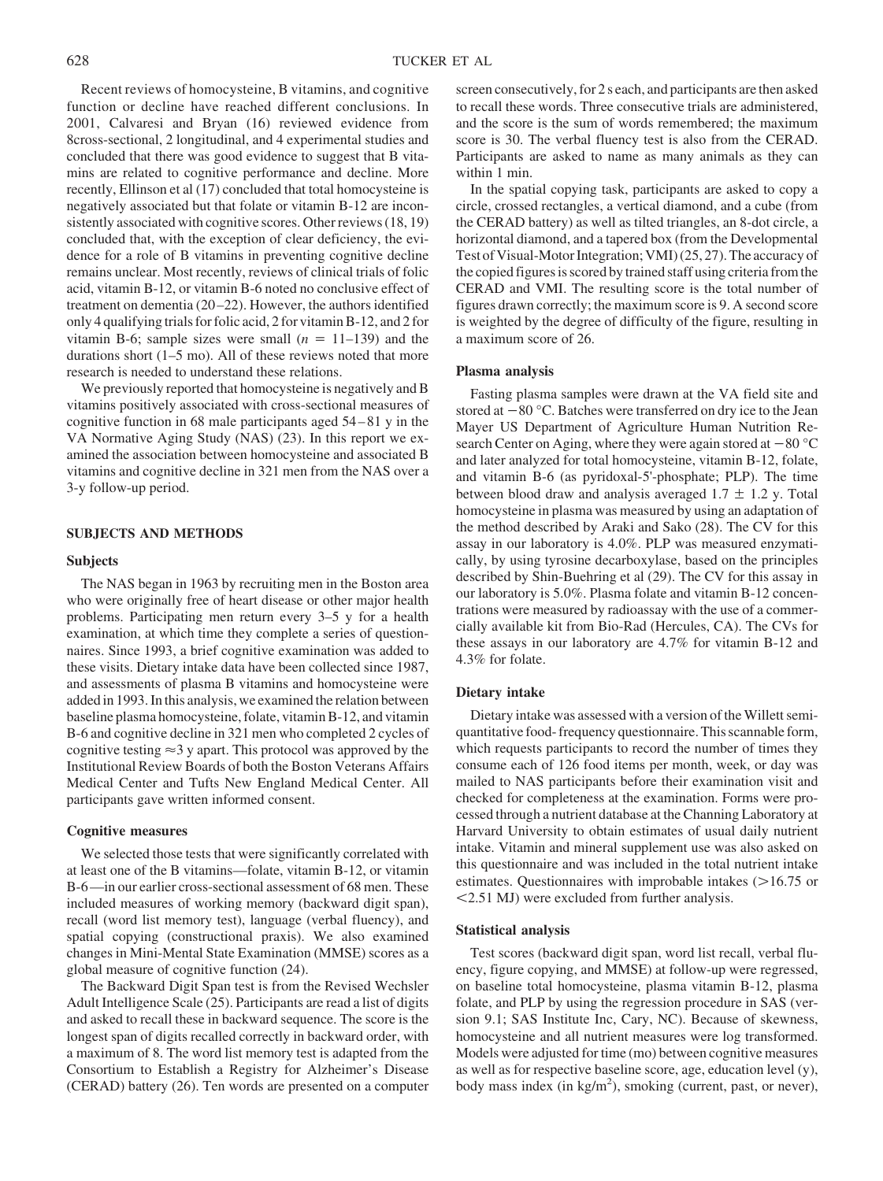Recent reviews of homocysteine, B vitamins, and cognitive function or decline have reached different conclusions. In 2001, Calvaresi and Bryan (16) reviewed evidence from 8cross-sectional, 2 longitudinal, and 4 experimental studies and concluded that there was good evidence to suggest that B vitamins are related to cognitive performance and decline. More recently, Ellinson et al (17) concluded that total homocysteine is negatively associated but that folate or vitamin B-12 are inconsistently associated with cognitive scores. Other reviews (18, 19) concluded that, with the exception of clear deficiency, the evidence for a role of B vitamins in preventing cognitive decline remains unclear. Most recently, reviews of clinical trials of folic acid, vitamin B-12, or vitamin B-6 noted no conclusive effect of treatment on dementia (20 –22). However, the authors identified only 4 qualifying trials for folic acid, 2 for vitamin B-12, and 2 for vitamin B-6; sample sizes were small  $(n = 11-139)$  and the durations short (1–5 mo). All of these reviews noted that more research is needed to understand these relations.

We previously reported that homocysteine is negatively and B vitamins positively associated with cross-sectional measures of cognitive function in 68 male participants aged 54 – 81 y in the VA Normative Aging Study (NAS) (23). In this report we examined the association between homocysteine and associated B vitamins and cognitive decline in 321 men from the NAS over a 3-y follow-up period.

## **SUBJECTS AND METHODS**

#### **Subjects**

The NAS began in 1963 by recruiting men in the Boston area who were originally free of heart disease or other major health problems. Participating men return every 3–5 y for a health examination, at which time they complete a series of questionnaires. Since 1993, a brief cognitive examination was added to these visits. Dietary intake data have been collected since 1987, and assessments of plasma B vitamins and homocysteine were added in 1993. In this analysis, we examined the relation between baseline plasma homocysteine, folate, vitamin B-12, and vitamin B-6 and cognitive decline in 321 men who completed 2 cycles of cognitive testing  $\approx$  3 y apart. This protocol was approved by the Institutional Review Boards of both the Boston Veterans Affairs Medical Center and Tufts New England Medical Center. All participants gave written informed consent.

## **Cognitive measures**

We selected those tests that were significantly correlated with at least one of the B vitamins—folate, vitamin B-12, or vitamin B-6—in our earlier cross-sectional assessment of 68 men. These included measures of working memory (backward digit span), recall (word list memory test), language (verbal fluency), and spatial copying (constructional praxis). We also examined changes in Mini-Mental State Examination (MMSE) scores as a global measure of cognitive function (24).

The Backward Digit Span test is from the Revised Wechsler Adult Intelligence Scale (25). Participants are read a list of digits and asked to recall these in backward sequence. The score is the longest span of digits recalled correctly in backward order, with a maximum of 8. The word list memory test is adapted from the Consortium to Establish a Registry for Alzheimer's Disease (CERAD) battery (26). Ten words are presented on a computer screen consecutively, for 2 s each, and participants are then asked to recall these words. Three consecutive trials are administered, and the score is the sum of words remembered; the maximum score is 30. The verbal fluency test is also from the CERAD. Participants are asked to name as many animals as they can within 1 min.

In the spatial copying task, participants are asked to copy a circle, crossed rectangles, a vertical diamond, and a cube (from the CERAD battery) as well as tilted triangles, an 8-dot circle, a horizontal diamond, and a tapered box (from the Developmental Test of Visual-Motor Integration; VMI) (25, 27). The accuracy of the copied figures is scored by trained staff using criteria from the CERAD and VMI. The resulting score is the total number of figures drawn correctly; the maximum score is 9. A second score is weighted by the degree of difficulty of the figure, resulting in a maximum score of 26.

# **Plasma analysis**

Fasting plasma samples were drawn at the VA field site and stored at  $-80$  °C. Batches were transferred on dry ice to the Jean Mayer US Department of Agriculture Human Nutrition Research Center on Aging, where they were again stored at  $-80$  °C and later analyzed for total homocysteine, vitamin B-12, folate, and vitamin B-6 (as pyridoxal-5'-phosphate; PLP). The time between blood draw and analysis averaged  $1.7 \pm 1.2$  y. Total homocysteine in plasma was measured by using an adaptation of the method described by Araki and Sako (28). The CV for this assay in our laboratory is 4.0%. PLP was measured enzymatically, by using tyrosine decarboxylase, based on the principles described by Shin-Buehring et al (29). The CV for this assay in our laboratory is 5.0%. Plasma folate and vitamin B-12 concentrations were measured by radioassay with the use of a commercially available kit from Bio-Rad (Hercules, CA). The CVs for these assays in our laboratory are 4.7% for vitamin B-12 and 4.3% for folate.

### **Dietary intake**

Dietary intake was assessed with a version of the Willett semiquantitative food- frequency questionnaire. This scannable form, which requests participants to record the number of times they consume each of 126 food items per month, week, or day was mailed to NAS participants before their examination visit and checked for completeness at the examination. Forms were processed through a nutrient database at the Channing Laboratory at Harvard University to obtain estimates of usual daily nutrient intake. Vitamin and mineral supplement use was also asked on this questionnaire and was included in the total nutrient intake estimates. Questionnaires with improbable intakes  $(>16.75$  or 2.51 MJ) were excluded from further analysis.

### **Statistical analysis**

Test scores (backward digit span, word list recall, verbal fluency, figure copying, and MMSE) at follow-up were regressed, on baseline total homocysteine, plasma vitamin B-12, plasma folate, and PLP by using the regression procedure in SAS (version 9.1; SAS Institute Inc, Cary, NC). Because of skewness, homocysteine and all nutrient measures were log transformed. Models were adjusted for time (mo) between cognitive measures as well as for respective baseline score, age, education level (y), body mass index (in kg/m<sup>2</sup>), smoking (current, past, or never),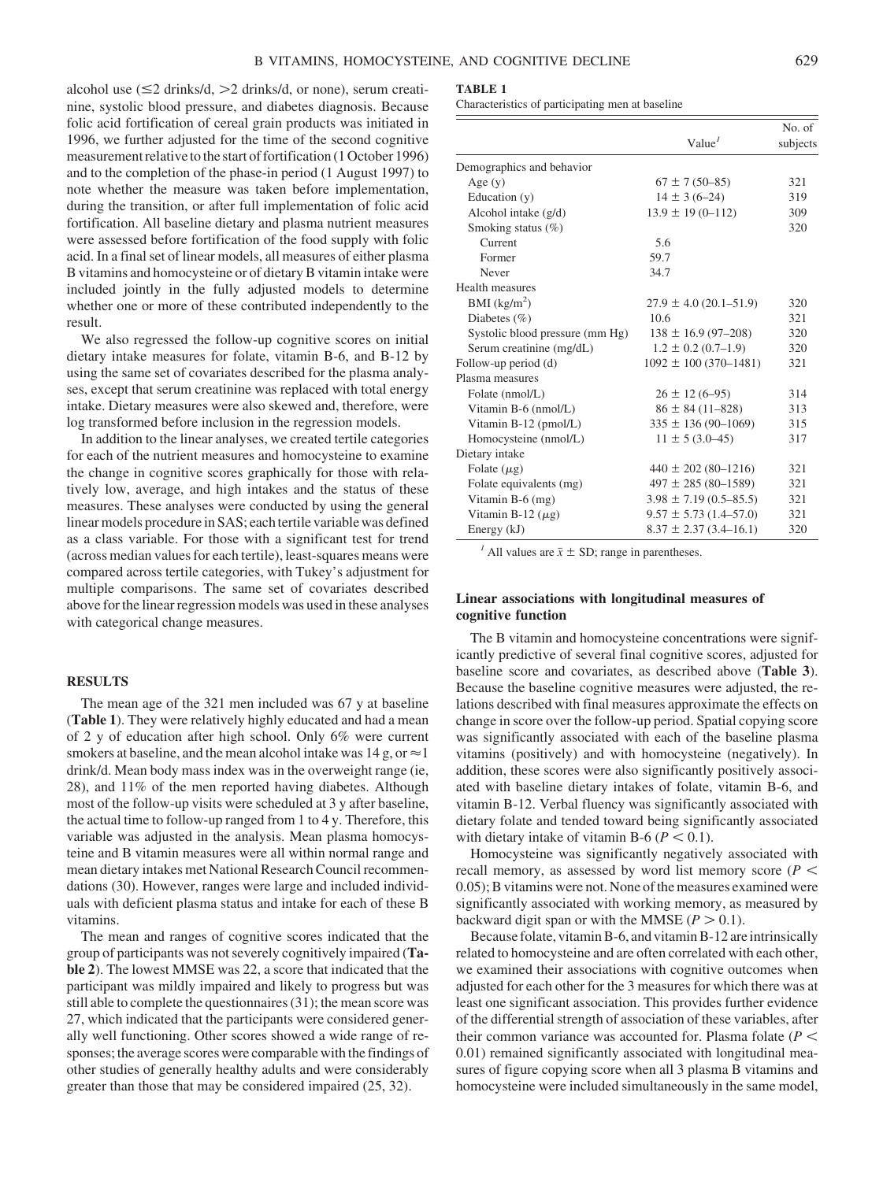alcohol use  $(\leq 2 \text{ drinks/d}, > 2 \text{ drinks/d}, \text{or none})$ , serum creatinine, systolic blood pressure, and diabetes diagnosis. Because folic acid fortification of cereal grain products was initiated in 1996, we further adjusted for the time of the second cognitive measurement relative to the start of fortification (1 October 1996) and to the completion of the phase-in period (1 August 1997) to note whether the measure was taken before implementation, during the transition, or after full implementation of folic acid fortification. All baseline dietary and plasma nutrient measures were assessed before fortification of the food supply with folic acid. In a final set of linear models, all measures of either plasma B vitamins and homocysteine or of dietary B vitamin intake were included jointly in the fully adjusted models to determine whether one or more of these contributed independently to the result.

We also regressed the follow-up cognitive scores on initial dietary intake measures for folate, vitamin B-6, and B-12 by using the same set of covariates described for the plasma analyses, except that serum creatinine was replaced with total energy intake. Dietary measures were also skewed and, therefore, were log transformed before inclusion in the regression models.

In addition to the linear analyses, we created tertile categories for each of the nutrient measures and homocysteine to examine the change in cognitive scores graphically for those with relatively low, average, and high intakes and the status of these measures. These analyses were conducted by using the general linear models procedure in SAS; each tertile variable was defined as a class variable. For those with a significant test for trend (across median values for each tertile), least-squares means were compared across tertile categories, with Tukey's adjustment for multiple comparisons. The same set of covariates described above for the linear regression models was used in these analyses with categorical change measures.

## **RESULTS**

The mean age of the 321 men included was 67 y at baseline (**Table 1**). They were relatively highly educated and had a mean of 2 y of education after high school. Only 6% were current smokers at baseline, and the mean alcohol intake was  $14 \text{ g}, \text{or} \approx 1$ drink/d. Mean body mass index was in the overweight range (ie, 28), and 11% of the men reported having diabetes. Although most of the follow-up visits were scheduled at 3 y after baseline, the actual time to follow-up ranged from 1 to 4 y. Therefore, this variable was adjusted in the analysis. Mean plasma homocysteine and B vitamin measures were all within normal range and mean dietary intakes met National Research Council recommendations (30). However, ranges were large and included individuals with deficient plasma status and intake for each of these B vitamins.

The mean and ranges of cognitive scores indicated that the group of participants was not severely cognitively impaired (**Table 2**). The lowest MMSE was 22, a score that indicated that the participant was mildly impaired and likely to progress but was still able to complete the questionnaires (31); the mean score was 27, which indicated that the participants were considered generally well functioning. Other scores showed a wide range of responses; the average scores were comparable with the findings of other studies of generally healthy adults and were considerably greater than those that may be considered impaired (25, 32).

#### **TABLE 1**

Characteristics of participating men at baseline

|                                 | Value <sup>I</sup>           |     |
|---------------------------------|------------------------------|-----|
| Demographics and behavior       |                              |     |
| Age $(y)$                       | $67 \pm 7(50 - 85)$          | 321 |
| Education (y)                   | $14 \pm 3(6-24)$             | 319 |
| Alcohol intake (g/d)            | $13.9 \pm 19(0 - 112)$       | 309 |
| Smoking status (%)              |                              | 320 |
| Current                         | 5.6                          |     |
| Former                          | 59.7                         |     |
| Never                           | 34.7                         |     |
| Health measures                 |                              |     |
| BMI $(kg/m2)$                   | $27.9 \pm 4.0$ (20.1–51.9)   | 320 |
| Diabetes (%)                    | 10.6                         | 321 |
| Systolic blood pressure (mm Hg) | $138 \pm 16.9$ (97-208)      | 320 |
| Serum creatinine (mg/dL)        | $1.2 \pm 0.2$ (0.7–1.9)      | 320 |
| Follow-up period (d)            | $1092 \pm 100(370 - 1481)$   | 321 |
| Plasma measures                 |                              |     |
| Folate (nmol/L)                 | $26 \pm 12(6 - 95)$          | 314 |
| Vitamin B-6 (nmol/L)            | $86 \pm 84 (11 - 828)$       | 313 |
| Vitamin B-12 (pmol/L)           | $335 \pm 136(90 - 1069)$     | 315 |
| Homocysteine (nmol/L)           | $11 \pm 5(3.0 - 45)$         | 317 |
| Dietary intake                  |                              |     |
| Folate $(\mu g)$                | $440 \pm 202 (80 - 1216)$    | 321 |
| Folate equivalents (mg)         | $497 \pm 285 (80 - 1589)$    | 321 |
| Vitamin $B-6$ (mg)              | $3.98 \pm 7.19(0.5 - 85.5)$  | 321 |
| Vitamin B-12 $(\mu$ g)          | $9.57 \pm 5.73$ (1.4–57.0)   | 321 |
| Energy (kJ)                     | $8.37 \pm 2.37 (3.4 - 16.1)$ | 320 |

<sup>*1*</sup> All values are  $\bar{x} \pm SD$ ; range in parentheses.

# **Linear associations with longitudinal measures of cognitive function**

The B vitamin and homocysteine concentrations were significantly predictive of several final cognitive scores, adjusted for baseline score and covariates, as described above (**Table 3**). Because the baseline cognitive measures were adjusted, the relations described with final measures approximate the effects on change in score over the follow-up period. Spatial copying score was significantly associated with each of the baseline plasma vitamins (positively) and with homocysteine (negatively). In addition, these scores were also significantly positively associated with baseline dietary intakes of folate, vitamin B-6, and vitamin B-12. Verbal fluency was significantly associated with dietary folate and tended toward being significantly associated with dietary intake of vitamin B-6 ( $P < 0.1$ ).

Homocysteine was significantly negatively associated with recall memory, as assessed by word list memory score ( $P \leq$ 0.05); B vitamins were not. None of the measures examined were significantly associated with working memory, as measured by backward digit span or with the MMSE  $(P > 0.1)$ .

Because folate, vitamin B-6, and vitamin B-12 are intrinsically related to homocysteine and are often correlated with each other, we examined their associations with cognitive outcomes when adjusted for each other for the 3 measures for which there was at least one significant association. This provides further evidence of the differential strength of association of these variables, after their common variance was accounted for. Plasma folate  $(P \leq$ 0.01) remained significantly associated with longitudinal measures of figure copying score when all 3 plasma B vitamins and homocysteine were included simultaneously in the same model,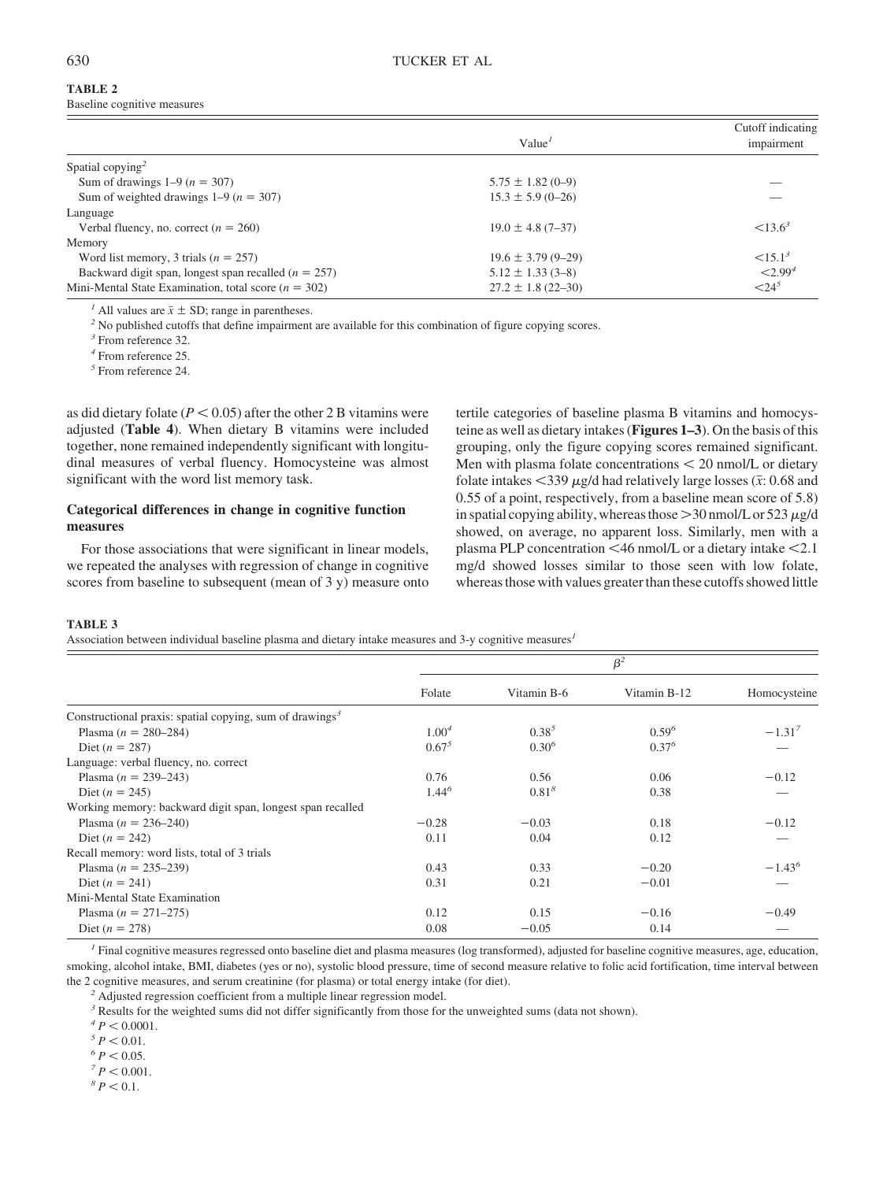# **TABLE 2**

Baseline cognitive measures

|                                                          | Value <sup>1</sup>      | Cutoff indicating<br>impairment |
|----------------------------------------------------------|-------------------------|---------------------------------|
| Spatial copying <sup>2</sup>                             |                         |                                 |
| Sum of drawings $1-9(n = 307)$                           | $5.75 \pm 1.82$ (0-9)   |                                 |
| Sum of weighted drawings $1-9$ ( $n = 307$ )             | $15.3 \pm 5.9$ (0-26)   |                                 |
| Language                                                 |                         |                                 |
| Verbal fluency, no. correct $(n = 260)$                  | $19.0 \pm 4.8$ (7-37)   | $< 13.6^3$                      |
| Memory                                                   |                         |                                 |
| Word list memory, 3 trials ( $n = 257$ )                 | $19.6 \pm 3.79(9 - 29)$ | $\leq 15.1^3$                   |
| Backward digit span, longest span recalled $(n = 257)$   | $5.12 \pm 1.33$ (3-8)   | < 2.99 <sup>4</sup>             |
| Mini-Mental State Examination, total score ( $n = 302$ ) | $27.2 \pm 1.8$ (22-30)  | ${24}^5$                        |

<sup>*1*</sup> All values are  $\bar{x} \pm SD$ ; range in parentheses.<br><sup>2</sup> No published cutoffs that define impairment are available for this combination of figure copying scores.

*<sup>3</sup>* From reference 32.

*<sup>4</sup>* From reference 25.

*<sup>5</sup>* From reference 24.

as did dietary folate  $(P < 0.05)$  after the other 2 B vitamins were adjusted (**Table 4**). When dietary B vitamins were included together, none remained independently significant with longitudinal measures of verbal fluency. Homocysteine was almost significant with the word list memory task.

# **Categorical differences in change in cognitive function measures**

For those associations that were significant in linear models, we repeated the analyses with regression of change in cognitive scores from baseline to subsequent (mean of 3 y) measure onto tertile categories of baseline plasma B vitamins and homocysteine as well as dietary intakes (**Figures 1–3**). On the basis of this grouping, only the figure copying scores remained significant. Men with plasma folate concentrations  $\lt$  20 nmol/L or dietary folate intakes  $\langle 339 \mu g/d \rangle$  had relatively large losses ( $\bar{x}$ : 0.68 and 0.55 of a point, respectively, from a baseline mean score of 5.8) in spatial copying ability, whereas those  $>$  30 nmol/L or 523  $\mu$ g/d showed, on average, no apparent loss. Similarly, men with a plasma PLP concentration <46 nmol/L or a dietary intake <2.1 mg/d showed losses similar to those seen with low folate, whereas those with values greater than these cutoffs showed little

## **TABLE 3**

Association between individual baseline plasma and dietary intake measures and 3-y cognitive measures*<sup>1</sup>*

|                                                                      | $\beta^2$         |             |              |                 |
|----------------------------------------------------------------------|-------------------|-------------|--------------|-----------------|
|                                                                      | Folate            | Vitamin B-6 | Vitamin B-12 | Homocysteine    |
| Constructional praxis: spatial copying, sum of drawings <sup>3</sup> |                   |             |              |                 |
| Plasma ( $n = 280-284$ )                                             | 1.00 <sup>4</sup> | $0.38^{5}$  | $0.59^{6}$   | $-1.31^{7}$     |
| Diet ( $n = 287$ )                                                   | $0.67^{5}$        | $0.30^{6}$  | $0.37^{6}$   |                 |
| Language: verbal fluency, no. correct                                |                   |             |              |                 |
| Plasma ( $n = 239-243$ )                                             | 0.76              | 0.56        | 0.06         | $-0.12$         |
| Diet ( $n = 245$ )                                                   | $1.44^{6}$        | $0.81^{8}$  | 0.38         |                 |
| Working memory: backward digit span, longest span recalled           |                   |             |              |                 |
| Plasma ( $n = 236-240$ )                                             | $-0.28$           | $-0.03$     | 0.18         | $-0.12$         |
| Diet $(n = 242)$                                                     | 0.11              | 0.04        | 0.12         |                 |
| Recall memory: word lists, total of 3 trials                         |                   |             |              |                 |
| Plasma ( $n = 235-239$ )                                             | 0.43              | 0.33        | $-0.20$      | $-1.43^{\circ}$ |
| Diet $(n = 241)$                                                     | 0.31              | 0.21        | $-0.01$      |                 |
| Mini-Mental State Examination                                        |                   |             |              |                 |
| Plasma ( $n = 271-275$ )                                             | 0.12              | 0.15        | $-0.16$      | $-0.49$         |
| Diet ( $n = 278$ )                                                   | 0.08              | $-0.05$     | 0.14         |                 |

*<sup>1</sup>* Final cognitive measures regressed onto baseline diet and plasma measures (log transformed), adjusted for baseline cognitive measures, age, education, smoking, alcohol intake, BMI, diabetes (yes or no), systolic blood pressure, time of second measure relative to folic acid fortification, time interval between the 2 cognitive measures, and serum creatinine (for plasma) or total energy intake (for diet).

*<sup>2</sup>* Adjusted regression coefficient from a multiple linear regression model.

<sup>3</sup> Results for the weighted sums did not differ significantly from those for the unweighted sums (data not shown).

 $^{4}P < 0.0001$ .

 $P < 0.01$ .

 $^{6}P < 0.05$ .

 ${}^{7}P$  < 0.001.

 ${}^{8}P$  < 0.1.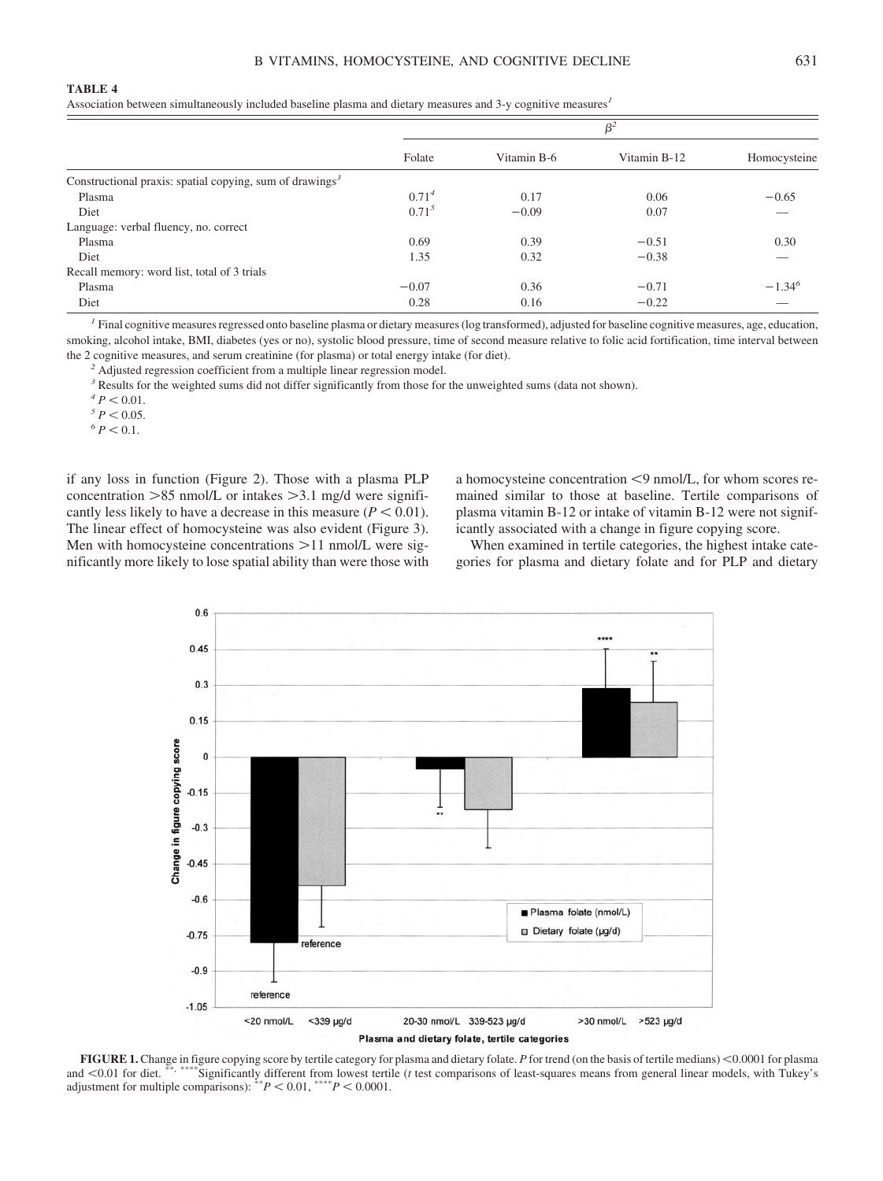Association between simultaneously included baseline plasma and dietary measures and 3-y cognitive measures*<sup>1</sup>*

|                                                                      | $\beta^2$  |             |              |              |
|----------------------------------------------------------------------|------------|-------------|--------------|--------------|
|                                                                      | Folate     | Vitamin B-6 | Vitamin B-12 | Homocysteine |
| Constructional praxis: spatial copying, sum of drawings <sup>3</sup> |            |             |              |              |
| Plasma                                                               | $0.71^{4}$ | 0.17        | 0.06         | $-0.65$      |
| Diet                                                                 | $0.71^{5}$ | $-0.09$     | 0.07         |              |
| Language: verbal fluency, no. correct                                |            |             |              |              |
| Plasma                                                               | 0.69       | 0.39        | $-0.51$      | 0.30         |
| Diet                                                                 | 1.35       | 0.32        | $-0.38$      |              |
| Recall memory: word list, total of 3 trials                          |            |             |              |              |
| Plasma                                                               | $-0.07$    | 0.36        | $-0.71$      | $-1.34^{6}$  |
| Diet                                                                 | 0.28       | 0.16        | $-0.22$      |              |

*<sup>1</sup>* Final cognitive measures regressed onto baseline plasma or dietary measures (log transformed), adjusted for baseline cognitive measures, age, education, smoking, alcohol intake, BMI, diabetes (yes or no), systolic blood pressure, time of second measure relative to folic acid fortification, time interval between the 2 cognitive measures, and serum creatinine (for plasma) or total energy intake (for diet).

*<sup>2</sup>* Adjusted regression coefficient from a multiple linear regression model.

<sup>3</sup> Results for the weighted sums did not differ significantly from those for the unweighted sums (data not shown).

 $^{4}P<0.01$ .

 $\frac{5}{5}$   $P < 0.05$ .

 $^{6}P < 0.1$ .

if any loss in function (Figure 2). Those with a plasma PLP concentration  $>85$  nmol/L or intakes  $>3.1$  mg/d were significantly less likely to have a decrease in this measure  $(P < 0.01)$ . The linear effect of homocysteine was also evident (Figure 3). Men with homocysteine concentrations  $>11$  nmol/L were significantly more likely to lose spatial ability than were those with a homocysteine concentration  $\leq$ 9 nmol/L, for whom scores remained similar to those at baseline. Tertile comparisons of plasma vitamin B-12 or intake of vitamin B-12 were not significantly associated with a change in figure copying score.

When examined in tertile categories, the highest intake categories for plasma and dietary folate and for PLP and dietary



**FIGURE 1.** Change in figure copying score by tertile category for plasma and dietary folate. *P* for trend (on the basis of tertile medians) <0.0001 for plasma and <0.01 for diet.<sup>\*\*</sup>, \*\*\*\*Significantly different from lowest tertile (*t* test comparisons of least-squares means from general linear models, with Tukey's adjustment for multiple comparisons):  $*^*P < 0.01$ ,  $*^{**}P < 0.0001$ .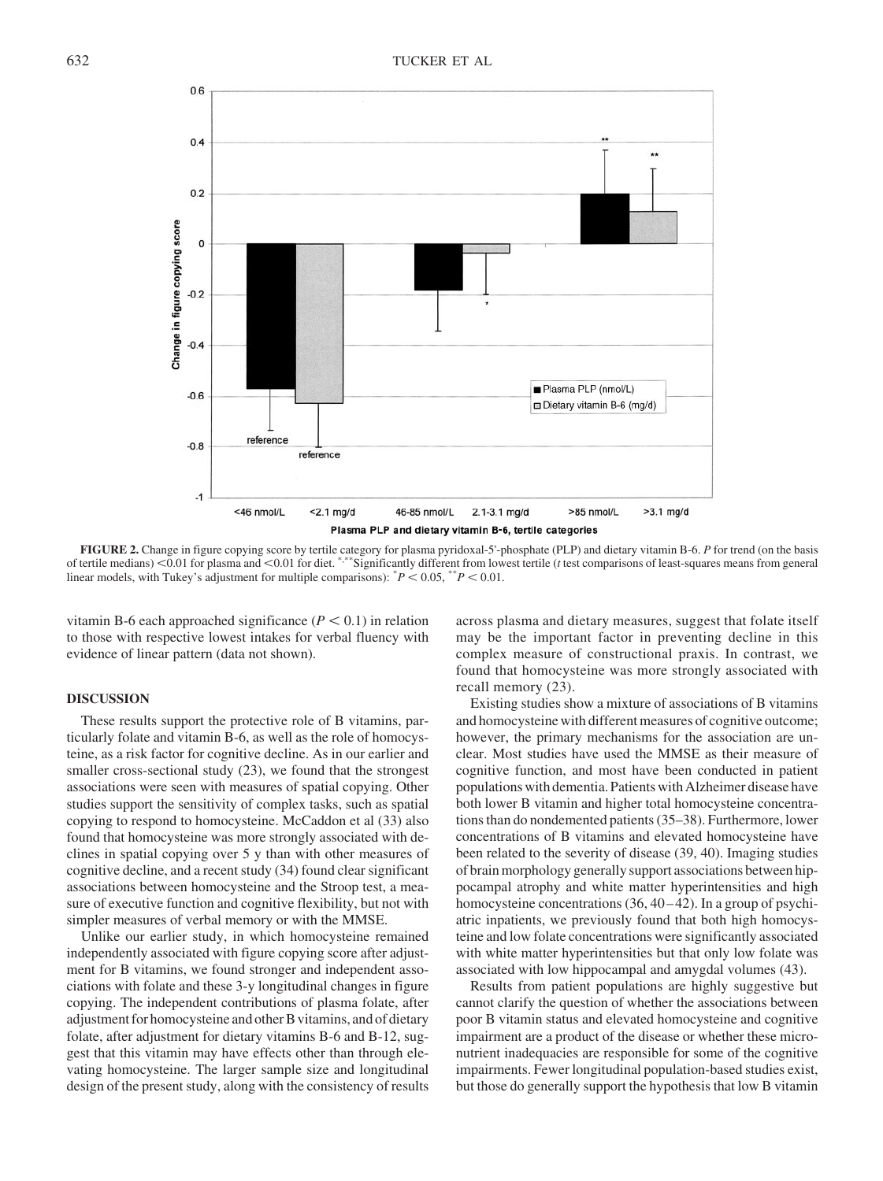

**FIGURE 2.** Change in figure copying score by tertile category for plasma pyridoxal-5'-phosphate (PLP) and dietary vitamin B-6. *P* for trend (on the basis of tertile medians) 0.01 for plasma and 0.01 for diet. \*,\*\*Significantly different from lowest tertile (*t* test comparisons of least-squares means from general linear models, with Tukey's adjustment for multiple comparisons):  $^{*}P$  < 0.05,  $^{*}P$  < 0.01.

vitamin B-6 each approached significance  $(P < 0.1)$  in relation to those with respective lowest intakes for verbal fluency with evidence of linear pattern (data not shown).

## **DISCUSSION**

These results support the protective role of B vitamins, particularly folate and vitamin B-6, as well as the role of homocysteine, as a risk factor for cognitive decline. As in our earlier and smaller cross-sectional study (23), we found that the strongest associations were seen with measures of spatial copying. Other studies support the sensitivity of complex tasks, such as spatial copying to respond to homocysteine. McCaddon et al (33) also found that homocysteine was more strongly associated with declines in spatial copying over 5 y than with other measures of cognitive decline, and a recent study (34) found clear significant associations between homocysteine and the Stroop test, a measure of executive function and cognitive flexibility, but not with simpler measures of verbal memory or with the MMSE.

Unlike our earlier study, in which homocysteine remained independently associated with figure copying score after adjustment for B vitamins, we found stronger and independent associations with folate and these 3-y longitudinal changes in figure copying. The independent contributions of plasma folate, after adjustment for homocysteine and other B vitamins, and of dietary folate, after adjustment for dietary vitamins B-6 and B-12, suggest that this vitamin may have effects other than through elevating homocysteine. The larger sample size and longitudinal design of the present study, along with the consistency of results

across plasma and dietary measures, suggest that folate itself may be the important factor in preventing decline in this complex measure of constructional praxis. In contrast, we found that homocysteine was more strongly associated with recall memory (23).

Existing studies show a mixture of associations of B vitamins and homocysteine with different measures of cognitive outcome; however, the primary mechanisms for the association are unclear. Most studies have used the MMSE as their measure of cognitive function, and most have been conducted in patient populations with dementia. Patients with Alzheimer disease have both lower B vitamin and higher total homocysteine concentrations than do nondemented patients (35–38). Furthermore, lower concentrations of B vitamins and elevated homocysteine have been related to the severity of disease (39, 40). Imaging studies of brain morphology generally support associations between hippocampal atrophy and white matter hyperintensities and high homocysteine concentrations (36, 40–42). In a group of psychiatric inpatients, we previously found that both high homocysteine and low folate concentrations were significantly associated with white matter hyperintensities but that only low folate was associated with low hippocampal and amygdal volumes (43).

Results from patient populations are highly suggestive but cannot clarify the question of whether the associations between poor B vitamin status and elevated homocysteine and cognitive impairment are a product of the disease or whether these micronutrient inadequacies are responsible for some of the cognitive impairments. Fewer longitudinal population-based studies exist, but those do generally support the hypothesis that low B vitamin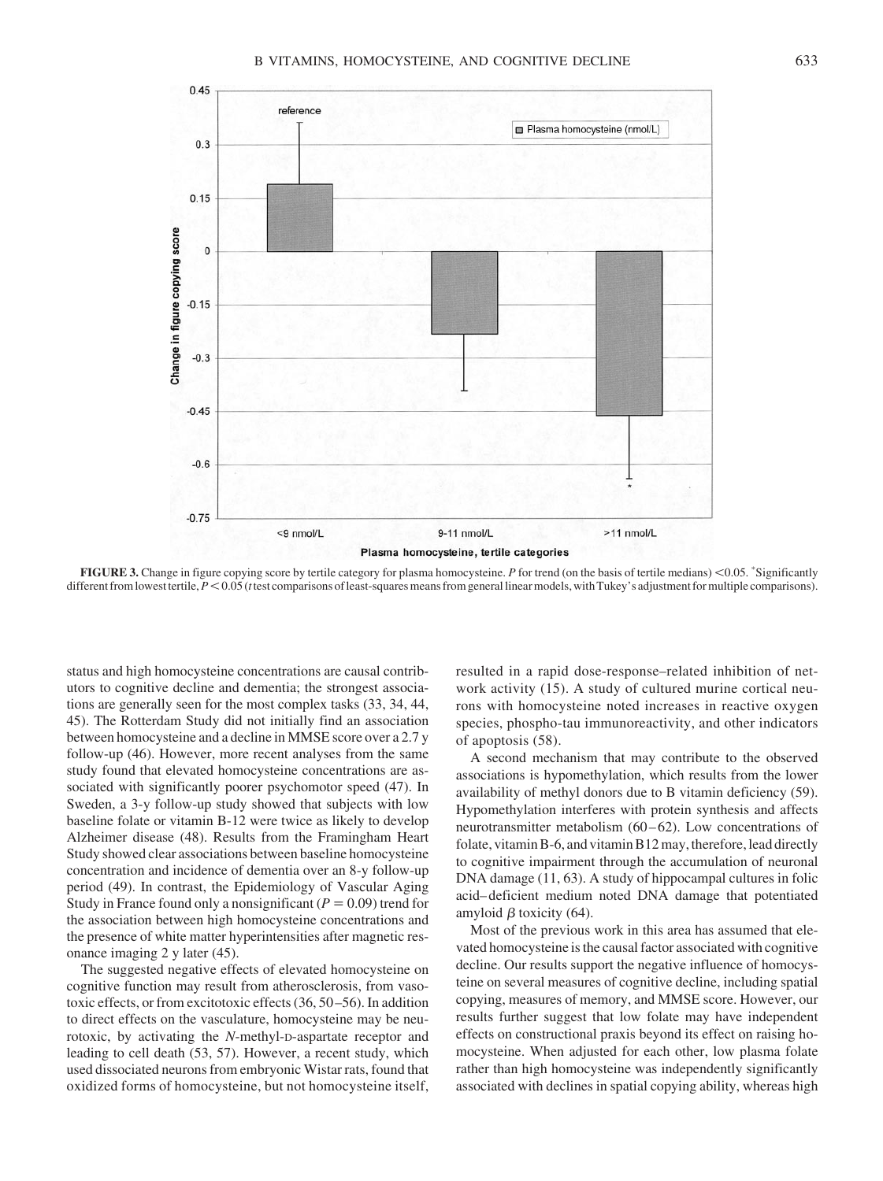

FIGURE 3. Change in figure copying score by tertile category for plasma homocysteine. P for trend (on the basis of tertile medians) <0.05. \*Significantly different from lowest tertile,  $P \le 0.05$  (*t* test comparisons of least-squares means from general linear models, with Tukey's adjustment for multiple comparisons).

status and high homocysteine concentrations are causal contributors to cognitive decline and dementia; the strongest associations are generally seen for the most complex tasks (33, 34, 44, 45). The Rotterdam Study did not initially find an association between homocysteine and a decline in MMSE score over a 2.7 y follow-up (46). However, more recent analyses from the same study found that elevated homocysteine concentrations are associated with significantly poorer psychomotor speed (47). In Sweden, a 3-y follow-up study showed that subjects with low baseline folate or vitamin B-12 were twice as likely to develop Alzheimer disease (48). Results from the Framingham Heart Study showed clear associations between baseline homocysteine concentration and incidence of dementia over an 8-y follow-up period (49). In contrast, the Epidemiology of Vascular Aging Study in France found only a nonsignificant  $(P = 0.09)$  trend for the association between high homocysteine concentrations and the presence of white matter hyperintensities after magnetic resonance imaging 2 y later (45).

The suggested negative effects of elevated homocysteine on cognitive function may result from atherosclerosis, from vasotoxic effects, or from excitotoxic effects (36, 50 –56). In addition to direct effects on the vasculature, homocysteine may be neurotoxic, by activating the *N*-methyl-D-aspartate receptor and leading to cell death (53, 57). However, a recent study, which used dissociated neurons from embryonic Wistar rats, found that oxidized forms of homocysteine, but not homocysteine itself, resulted in a rapid dose-response–related inhibition of network activity (15). A study of cultured murine cortical neurons with homocysteine noted increases in reactive oxygen species, phospho-tau immunoreactivity, and other indicators of apoptosis (58).

A second mechanism that may contribute to the observed associations is hypomethylation, which results from the lower availability of methyl donors due to B vitamin deficiency (59). Hypomethylation interferes with protein synthesis and affects neurotransmitter metabolism (60–62). Low concentrations of folate, vitamin B-6, and vitamin B12 may, therefore, lead directly to cognitive impairment through the accumulation of neuronal DNA damage (11, 63). A study of hippocampal cultures in folic acid– deficient medium noted DNA damage that potentiated amyloid  $\beta$  toxicity (64).

Most of the previous work in this area has assumed that elevated homocysteine is the causal factor associated with cognitive decline. Our results support the negative influence of homocysteine on several measures of cognitive decline, including spatial copying, measures of memory, and MMSE score. However, our results further suggest that low folate may have independent effects on constructional praxis beyond its effect on raising homocysteine. When adjusted for each other, low plasma folate rather than high homocysteine was independently significantly associated with declines in spatial copying ability, whereas high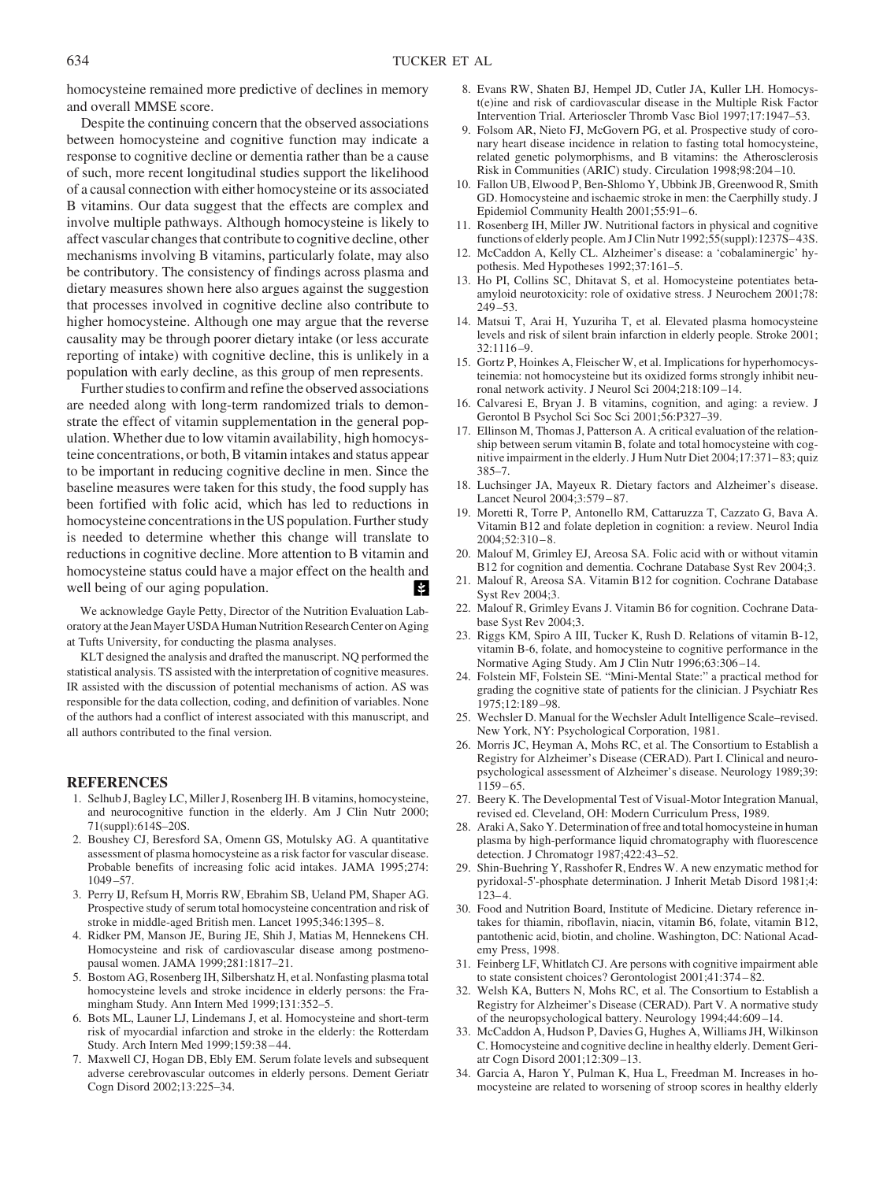homocysteine remained more predictive of declines in memory and overall MMSE score.

Despite the continuing concern that the observed associations between homocysteine and cognitive function may indicate a response to cognitive decline or dementia rather than be a cause of such, more recent longitudinal studies support the likelihood of a causal connection with either homocysteine or its associated B vitamins. Our data suggest that the effects are complex and involve multiple pathways. Although homocysteine is likely to affect vascular changes that contribute to cognitive decline, other mechanisms involving B vitamins, particularly folate, may also be contributory. The consistency of findings across plasma and dietary measures shown here also argues against the suggestion that processes involved in cognitive decline also contribute to higher homocysteine. Although one may argue that the reverse causality may be through poorer dietary intake (or less accurate reporting of intake) with cognitive decline, this is unlikely in a population with early decline, as this group of men represents.

Further studies to confirm and refine the observed associations are needed along with long-term randomized trials to demonstrate the effect of vitamin supplementation in the general population. Whether due to low vitamin availability, high homocysteine concentrations, or both, B vitamin intakes and status appear to be important in reducing cognitive decline in men. Since the baseline measures were taken for this study, the food supply has been fortified with folic acid, which has led to reductions in homocysteine concentrations in the US population. Further study is needed to determine whether this change will translate to reductions in cognitive decline. More attention to B vitamin and homocysteine status could have a major effect on the health and well being of our aging population.

We acknowledge Gayle Petty, Director of the Nutrition Evaluation Laboratory at the Jean Mayer USDA Human Nutrition Research Center on Aging at Tufts University, for conducting the plasma analyses.

KLT designed the analysis and drafted the manuscript. NQ performed the statistical analysis. TS assisted with the interpretation of cognitive measures. IR assisted with the discussion of potential mechanisms of action. AS was responsible for the data collection, coding, and definition of variables. None of the authors had a conflict of interest associated with this manuscript, and all authors contributed to the final version.

#### **REFERENCES**

- 1. Selhub J, Bagley LC, Miller J, Rosenberg IH. B vitamins, homocysteine, and neurocognitive function in the elderly. Am J Clin Nutr 2000; 71(suppl):614S–20S.
- 2. Boushey CJ, Beresford SA, Omenn GS, Motulsky AG. A quantitative assessment of plasma homocysteine as a risk factor for vascular disease. Probable benefits of increasing folic acid intakes. JAMA 1995;274: 1049 –57.
- 3. Perry IJ, Refsum H, Morris RW, Ebrahim SB, Ueland PM, Shaper AG. Prospective study of serum total homocysteine concentration and risk of stroke in middle-aged British men. Lancet 1995;346:1395– 8.
- 4. Ridker PM, Manson JE, Buring JE, Shih J, Matias M, Hennekens CH. Homocysteine and risk of cardiovascular disease among postmenopausal women. JAMA 1999;281:1817–21.
- 5. Bostom AG, Rosenberg IH, Silbershatz H, et al. Nonfasting plasma total homocysteine levels and stroke incidence in elderly persons: the Framingham Study. Ann Intern Med 1999;131:352–5.
- 6. Bots ML, Launer LJ, Lindemans J, et al. Homocysteine and short-term risk of myocardial infarction and stroke in the elderly: the Rotterdam Study. Arch Intern Med 1999;159:38 – 44.
- 7. Maxwell CJ, Hogan DB, Ebly EM. Serum folate levels and subsequent adverse cerebrovascular outcomes in elderly persons. Dement Geriatr Cogn Disord 2002;13:225–34.
- 8. Evans RW, Shaten BJ, Hempel JD, Cutler JA, Kuller LH. Homocyst(e)ine and risk of cardiovascular disease in the Multiple Risk Factor Intervention Trial. Arterioscler Thromb Vasc Biol 1997;17:1947–53.
- 9. Folsom AR, Nieto FJ, McGovern PG, et al. Prospective study of coronary heart disease incidence in relation to fasting total homocysteine, related genetic polymorphisms, and B vitamins: the Atherosclerosis Risk in Communities (ARIC) study. Circulation 1998;98:204 –10.
- 10. Fallon UB, Elwood P, Ben-Shlomo Y, Ubbink JB, Greenwood R, Smith GD. Homocysteine and ischaemic stroke in men: the Caerphilly study. J Epidemiol Community Health 2001;55:91-6.
- 11. Rosenberg IH, Miller JW. Nutritional factors in physical and cognitive functions of elderly people. Am J Clin Nutr 1992;55(suppl):1237S– 43S.
- 12. McCaddon A, Kelly CL. Alzheimer's disease: a 'cobalaminergic' hypothesis. Med Hypotheses 1992;37:161–5.
- 13. Ho PI, Collins SC, Dhitavat S, et al. Homocysteine potentiates betaamyloid neurotoxicity: role of oxidative stress. J Neurochem 2001;78: 249 –53.
- 14. Matsui T, Arai H, Yuzuriha T, et al. Elevated plasma homocysteine levels and risk of silent brain infarction in elderly people. Stroke 2001; 32:1116 –9.
- 15. Gortz P, Hoinkes A, Fleischer W, et al. Implications for hyperhomocysteinemia: not homocysteine but its oxidized forms strongly inhibit neuronal network activity. J Neurol Sci 2004;218:109 –14.
- 16. Calvaresi E, Bryan J. B vitamins, cognition, and aging: a review. J Gerontol B Psychol Sci Soc Sci 2001;56:P327–39.
- 17. Ellinson M, Thomas J, Patterson A. A critical evaluation of the relationship between serum vitamin B, folate and total homocysteine with cognitive impairment in the elderly. J Hum Nutr Diet 2004;17:371– 83; quiz 385–7.
- 18. Luchsinger JA, Mayeux R. Dietary factors and Alzheimer's disease. Lancet Neurol 2004;3:579 – 87.
- 19. Moretti R, Torre P, Antonello RM, Cattaruzza T, Cazzato G, Bava A. Vitamin B12 and folate depletion in cognition: a review. Neurol India  $2004;52:310-8.$
- 20. Malouf M, Grimley EJ, Areosa SA. Folic acid with or without vitamin B12 for cognition and dementia. Cochrane Database Syst Rev 2004;3.
- 21. Malouf R, Areosa SA. Vitamin B12 for cognition. Cochrane Database Syst Rev 2004;3.
- 22. Malouf R, Grimley Evans J. Vitamin B6 for cognition. Cochrane Database Syst Rev 2004;3.
- 23. Riggs KM, Spiro A III, Tucker K, Rush D. Relations of vitamin B-12, vitamin B-6, folate, and homocysteine to cognitive performance in the Normative Aging Study. Am J Clin Nutr 1996;63:306 –14.
- 24. Folstein MF, Folstein SE. "Mini-Mental State:" a practical method for grading the cognitive state of patients for the clinician. J Psychiatr Res 1975;12:189 –98.
- 25. Wechsler D. Manual for the Wechsler Adult Intelligence Scale–revised. New York, NY: Psychological Corporation, 1981.
- 26. Morris JC, Heyman A, Mohs RC, et al. The Consortium to Establish a Registry for Alzheimer's Disease (CERAD). Part I. Clinical and neuropsychological assessment of Alzheimer's disease. Neurology 1989;39:  $1159 - 65.$
- 27. Beery K. The Developmental Test of Visual-Motor Integration Manual, revised ed. Cleveland, OH: Modern Curriculum Press, 1989.
- 28. Araki A, Sako Y. Determination of free and total homocysteine in human plasma by high-performance liquid chromatography with fluorescence detection. J Chromatogr 1987;422:43–52.
- 29. Shin-Buehring Y, Rasshofer R, Endres W. A new enzymatic method for pyridoxal-5'-phosphate determination. J Inherit Metab Disord 1981;4:  $123 - 4$ .
- 30. Food and Nutrition Board, Institute of Medicine. Dietary reference intakes for thiamin, riboflavin, niacin, vitamin B6, folate, vitamin B12, pantothenic acid, biotin, and choline. Washington, DC: National Academy Press, 1998.
- 31. Feinberg LF, Whitlatch CJ. Are persons with cognitive impairment able to state consistent choices? Gerontologist 2001;41:374 – 82.
- 32. Welsh KA, Butters N, Mohs RC, et al. The Consortium to Establish a Registry for Alzheimer's Disease (CERAD). Part V. A normative study of the neuropsychological battery. Neurology 1994;44:609 –14.
- 33. McCaddon A, Hudson P, Davies G, Hughes A, Williams JH, Wilkinson C. Homocysteine and cognitive decline in healthy elderly. Dement Geriatr Cogn Disord 2001;12:309 –13.
- 34. Garcia A, Haron Y, Pulman K, Hua L, Freedman M. Increases in homocysteine are related to worsening of stroop scores in healthy elderly